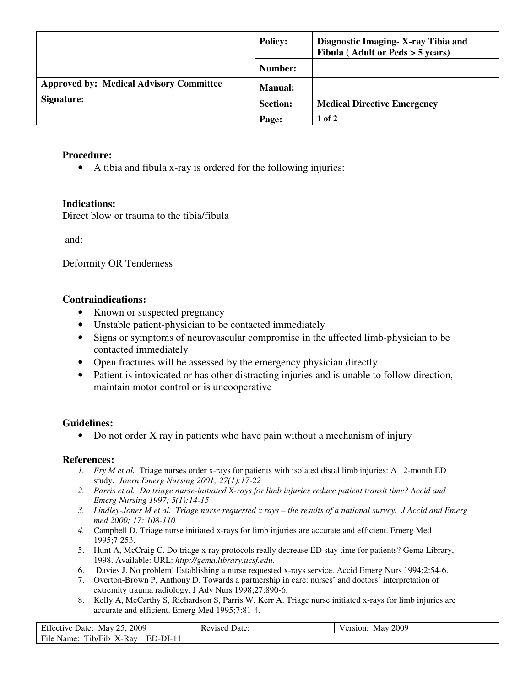|                                                | <b>Policy:</b>  | Diagnostic Imaging - X-ray Tibia and<br>Fibula (Adult or $Peds > 5$ years) |
|------------------------------------------------|-----------------|----------------------------------------------------------------------------|
|                                                | Number:         |                                                                            |
| <b>Approved by: Medical Advisory Committee</b> | <b>Manual:</b>  |                                                                            |
| Signature:                                     | <b>Section:</b> | <b>Medical Directive Emergency</b>                                         |
|                                                | Page:           | $1$ of $2$                                                                 |

#### **Procedure:**

• A tibia and fibula x-ray is ordered for the following injuries:

## **Indications:**

Direct blow or trauma to the tibia/fibula

and:

Deformity OR Tenderness

## **Contraindications:**

- Known or suspected pregnancy
- Unstable patient-physician to be contacted immediately
- Signs or symptoms of neurovascular compromise in the affected limb-physician to be contacted immediately
- Open fractures will be assessed by the emergency physician directly
- Patient is intoxicated or has other distracting injuries and is unable to follow direction, maintain motor control or is uncooperative

# **Guidelines:**

• Do not order X ray in patients who have pain without a mechanism of injury

#### **References:**

- *1. Fry M et al.* Triage nurses order x-rays for patients with isolated distal limb injuries: A 12-month ED study. *Journ Emerg Nursing 2001; 27(1):17-22*
- *2. Parris et al. Do triage nurse-initiated X-rays for limb injuries reduce patient transit time? Accid and Emerg Nursing 1997; 5(1):14-15*
- *3. Lindley-Jones M et al. Triage nurse requested x rays the results of a national survey. J Accid and Emerg med 2000; 17: 108-110*
- *4.* Campbell D. Triage nurse initiated x-rays for limb injuries are accurate and efficient. Emerg Med 1995;7:253.
- 5. Hunt A, McCraig C. Do triage x-ray protocols really decrease ED stay time for patients? Gema Library, 1998. Available: URL: *http://gema.library.ucsf.edu.*
- 6. Davies J. No problem! Establishing a nurse requested x-rays service. Accid Emerg Nurs 1994;2:54-6.
- 7. Overton-Brown P, Anthony D. Towards a partnership in care: nurses' and doctors' interpretation of extremity trauma radiology. J Adv Nurs 1998;27:890-6.
- 8. Kelly A, McCarthy S, Richardson S, Parris W, Kerr A. Triage nurse initiated x-rays for limb injuries are accurate and efficient. Emerg Med 1995;7:81-4.

| Effective Date: May 25, 2009              | <b>Revised Date:</b> | Version: May 2009 |
|-------------------------------------------|----------------------|-------------------|
| File Name:<br>Tib/Fib X-Ray<br>$ED-DI-11$ |                      |                   |